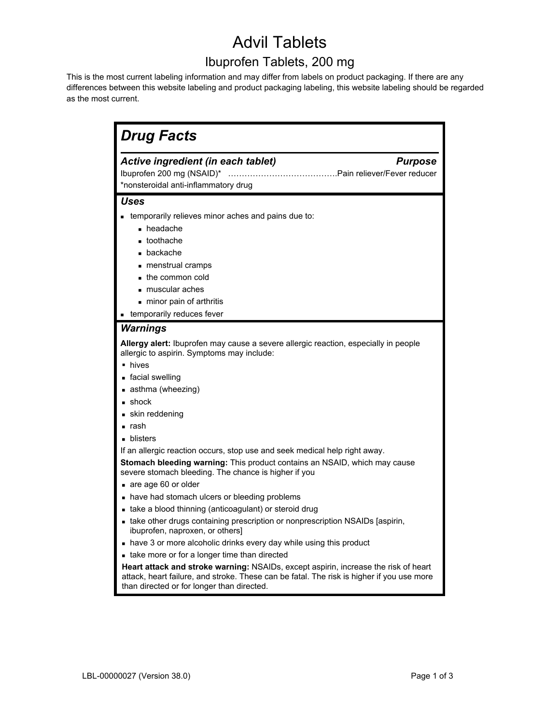# Advil Tablets

# Ibuprofen Tablets, 200 mg

This is the most current labeling information and may differ from labels on product packaging. If there are any differences between this website labeling and product packaging labeling, this website labeling should be regarded as the most current.

| Ibuprofen 200 mg (NSAID)*                  | Active ingredient (in each tablet)<br><b>Purpose</b>                                                                                                                                                                           |
|--------------------------------------------|--------------------------------------------------------------------------------------------------------------------------------------------------------------------------------------------------------------------------------|
|                                            | *nonsteroidal anti-inflammatory drug                                                                                                                                                                                           |
| <b>Uses</b>                                |                                                                                                                                                                                                                                |
|                                            | <b>EXECUTE:</b> temporarily relieves minor aches and pains due to:                                                                                                                                                             |
| • headache                                 |                                                                                                                                                                                                                                |
| ■ toothache                                |                                                                                                                                                                                                                                |
| $\blacksquare$ backache                    |                                                                                                                                                                                                                                |
| menstrual cramps                           |                                                                                                                                                                                                                                |
| the common cold                            |                                                                                                                                                                                                                                |
| muscular aches                             |                                                                                                                                                                                                                                |
| - minor pain of arthritis                  |                                                                                                                                                                                                                                |
| <b>Example 1</b> temporarily reduces fever |                                                                                                                                                                                                                                |
| <b>Warnings</b>                            |                                                                                                                                                                                                                                |
|                                            | Allergy alert: Ibuprofen may cause a severe allergic reaction, especially in people<br>allergic to aspirin. Symptoms may include:                                                                                              |
| • hives                                    |                                                                                                                                                                                                                                |
| facial swelling                            |                                                                                                                                                                                                                                |
| asthma (wheezing)                          |                                                                                                                                                                                                                                |
| $\blacksquare$ shock                       |                                                                                                                                                                                                                                |
| skin reddening                             |                                                                                                                                                                                                                                |
| $\blacksquare$ rash                        |                                                                                                                                                                                                                                |
| • blisters                                 |                                                                                                                                                                                                                                |
|                                            | If an allergic reaction occurs, stop use and seek medical help right away.                                                                                                                                                     |
|                                            | Stomach bleeding warning: This product contains an NSAID, which may cause<br>severe stomach bleeding. The chance is higher if you                                                                                              |
| are age 60 or older                        |                                                                                                                                                                                                                                |
|                                            | • have had stomach ulcers or bleeding problems                                                                                                                                                                                 |
|                                            | • take a blood thinning (anticoagulant) or steroid drug                                                                                                                                                                        |
|                                            | • take other drugs containing prescription or nonprescription NSAIDs [aspirin,<br>ibuprofen, naproxen, or others]                                                                                                              |
|                                            | • have 3 or more alcoholic drinks every day while using this product                                                                                                                                                           |
|                                            | - take more or for a longer time than directed                                                                                                                                                                                 |
|                                            | Heart attack and stroke warning: NSAIDs, except aspirin, increase the risk of heart<br>attack, heart failure, and stroke. These can be fatal. The risk is higher if you use more<br>than directed or for longer than directed. |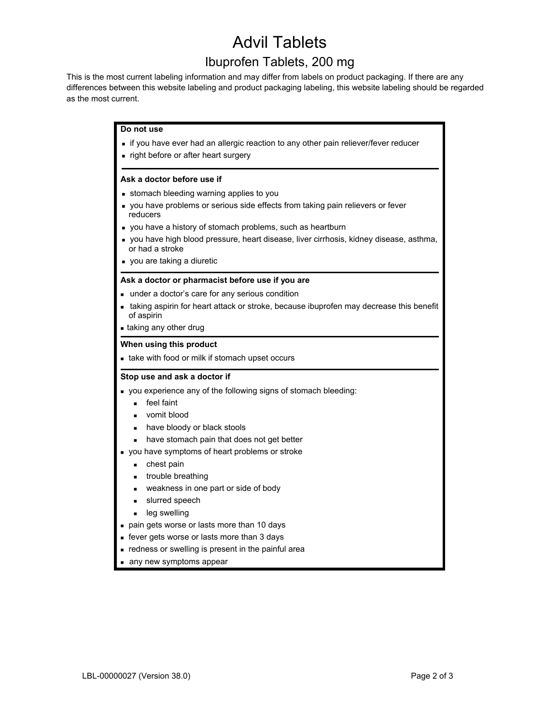# Advil Tablets

## Ibuprofen Tablets, 200 mg

This is the most current labeling information and may differ from labels on product packaging. If there are any differences between this website labeling and product packaging labeling, this website labeling should be regarded as the most current.

### **Do not use**

- **if you have ever had an allergic reaction to any other pain reliever/fever reducer**
- **Fight before or after heart surgery**

#### **Ask a doctor before use if**

- **stomach bleeding warning applies to you**
- you have problems or serious side effects from taking pain relievers or fever reducers
- you have a history of stomach problems, such as heartburn
- you have high blood pressure, heart disease, liver cirrhosis, kidney disease, asthma, or had a stroke
- **vou are taking a diuretic**

#### **Ask a doctor or pharmacist before use if you are**

- under a doctor's care for any serious condition
- taking aspirin for heart attack or stroke, because ibuprofen may decrease this benefit of aspirin
- taking any other drug

#### **When using this product**

take with food or milk if stomach upset occurs

#### **Stop use and ask a doctor if**

- you experience any of the following signs of stomach bleeding:
	- **feel faint**
	- vomit blood
	- have bloody or black stools
	- have stomach pain that does not get better
- you have symptoms of heart problems or stroke
	- **chest pain**
	- **u** trouble breathing
	- **weakness in one part or side of body**
	- **slurred speech**
	- **leg swelling**
- pain gets worse or lasts more than 10 days
- **fever gets worse or lasts more than 3 days**
- redness or swelling is present in the painful area
- any new symptoms appear